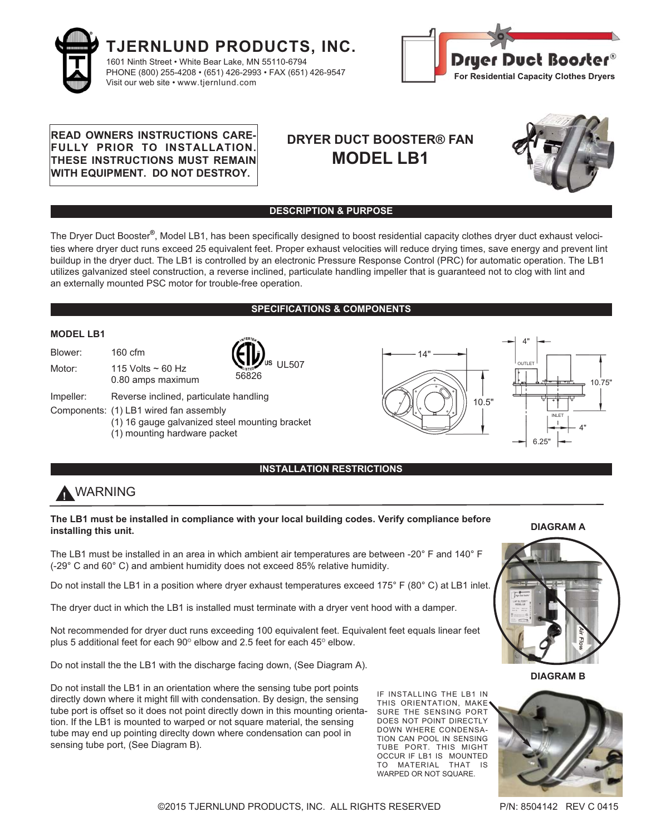



# **READ OWNERS INSTRUCTIONS CARE-FULLY PRIOR TO INSTALLATION. THESE INSTRUCTIONS MUST REMAIN WITH EQUIPMENT. DO NOT DESTROY.**

# **DRYER DUCT BOOSTER® FAN MODEL LB1**



# **DESCRIPTION & PURPOSE**

The Dryer Duct Booster**®**, Model LB1, has been specifically designed to boost residential capacity clothes dryer duct exhaust velocities where dryer duct runs exceed 25 equivalent feet. Proper exhaust velocities will reduce drying times, save energy and prevent lint buildup in the dryer duct. The LB1 is controlled by an electronic Pressure Response Control (PRC) for automatic operation. The LB1 utilizes galvanized steel construction, a reverse inclined, particulate handling impeller that is guaranteed not to clog with lint and an externally mounted PSC motor for trouble-free operation.

# **SPECIFICATIONS & COMPONENTS**



# **INSTALLATION RESTRICTIONS**

# **!** WARNING

## **The LB1 must be installed in compliance with your local building codes. Verify compliance before installing this unit.**

The LB1 must be installed in an area in which ambient air temperatures are between -20° F and 140° F (-29° C and 60° C) and ambient humidity does not exceed 85% relative humidity.

Do not install the LB1 in a position where dryer exhaust temperatures exceed 175° F (80° C) at LB1 inlet.

The dryer duct in which the LB1 is installed must terminate with a dryer vent hood with a damper.

Not recommended for dryer duct runs exceeding 100 equivalent feet. Equivalent feet equals linear feet plus 5 additional feet for each  $90^\circ$  elbow and 2.5 feet for each 45 $^\circ$  elbow.

Do not install the the LB1 with the discharge facing down, (See Diagram A).

Do not install the LB1 in an orientation where the sensing tube port points directly down where it might fill with condensation. By design, the sensing tube port is offset so it does not point directly down in this mounting orientation. If the LB1 is mounted to warped or not square material, the sensing tube may end up pointing direclty down where condensation can pool in sensing tube port, (See Diagram B).

IF INSTALLING THE LB1 IN THIS ORIENTATION, MAKE SURE THE SENSING PORT DOES NOT POINT DIRECTLY DOWN WHERE CONDENSA-TION CAN POOL IN SENSING TUBE PORT. THIS MIGHT OCCUR IF LB1 IS MOUNTED TO MATERIAL THAT IS WARPED OR NOT SQUARE.

**DIAGRAM A**



**DIAGRAM B**



©2015 TJERNLUND PRODUCTS, INC. ALL RIGHTS RESERVED P/N: 8504142 REV C 0415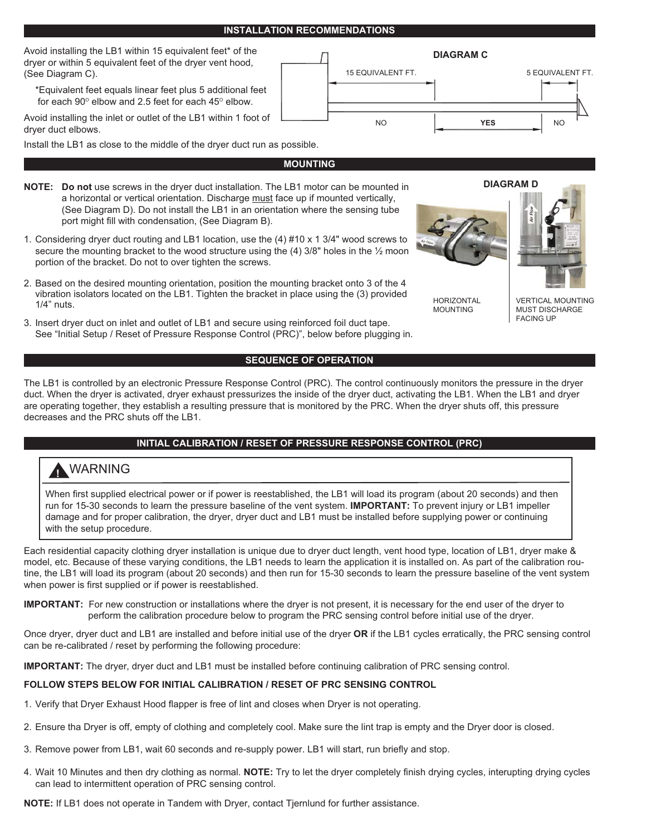## **INSTALLATION RECOMMENDATIONS**

Avoid installing the LB1 within 15 equivalent feet\* of the dryer or within 5 equivalent feet of the dryer vent hood, (See Diagram C).

\*Equivalent feet equals linear feet plus 5 additional feet for each  $90^\circ$  elbow and 2.5 feet for each  $45^\circ$  elbow.

Avoid installing the inlet or outlet of the LB1 within 1 foot of dryer duct elbows.

Install the LB1 as close to the middle of the dryer duct run as possible.

- **NOTE: Do not** use screws in the dryer duct installation. The LB1 motor can be mounted in a horizontal or vertical orientation. Discharge must face up if mounted vertically, (See Diagram D). Do not install the LB1 in an orientation where the sensing tube port might fill with condensation, (See Diagram B).
- 1. Considering dryer duct routing and LB1 location, use the (4) #10 x 1 3/4" wood screws to secure the mounting bracket to the wood structure using the  $(4)$  3/8" holes in the  $\frac{1}{2}$  moon portion of the bracket. Do not to over tighten the screws.
- 2. Based on the desired mounting orientation, position the mounting bracket onto 3 of the 4 vibration isolators located on the LB1. Tighten the bracket in place using the (3) provided 1/4" nuts.
- 3. Insert dryer duct on inlet and outlet of LB1 and secure using reinforced foil duct tape. See "Initial Setup / Reset of Pressure Response Control (PRC)", below before plugging in.

# **SEQUENCE OF OPERATION**

The LB1 is controlled by an electronic Pressure Response Control (PRC). The control continuously monitors the pressure in the dryer duct. When the dryer is activated, dryer exhaust pressurizes the inside of the dryer duct, activating the LB1. When the LB1 and dryer are operating together, they establish a resulting pressure that is monitored by the PRC. When the dryer shuts off, this pressure decreases and the PRC shuts off the LB1.

# **INITIAL CALIBRATION / RESET OF PRESSURE RESPONSE CONTROL (PRC)**

# **!** WARNING

When first supplied electrical power or if power is reestablished, the LB1 will load its program (about 20 seconds) and then run for 15-30 seconds to learn the pressure baseline of the vent system. **IMPORTANT:** To prevent injury or LB1 impeller damage and for proper calibration, the dryer, dryer duct and LB1 must be installed before supplying power or continuing with the setup procedure.

Each residential capacity clothing dryer installation is unique due to dryer duct length, vent hood type, location of LB1, dryer make & model, etc. Because of these varying conditions, the LB1 needs to learn the application it is installed on. As part of the calibration routine, the LB1 will load its program (about 20 seconds) and then run for 15-30 seconds to learn the pressure baseline of the vent system when power is first supplied or if power is reestablished.

**IMPORTANT:** For new construction or installations where the dryer is not present, it is necessary for the end user of the dryer to perform the calibration procedure below to program the PRC sensing control before initial use of the dryer.

Once dryer, dryer duct and LB1 are installed and before initial use of the dryer **OR** if the LB1 cycles erratically, the PRC sensing control can be re-calibrated / reset by performing the following procedure:

**IMPORTANT:** The dryer, dryer duct and LB1 must be installed before continuing calibration of PRC sensing control.

### **FOLLOW STEPS BELOW FOR INITIAL CALIBRATION / RESET OF PRC SENSING CONTROL**

- 1. Verify that Dryer Exhaust Hood flapper is free of lint and closes when Dryer is not operating.
- 2. Ensure tha Dryer is off, empty of clothing and completely cool. Make sure the lint trap is empty and the Dryer door is closed.
- 3. Remove power from LB1, wait 60 seconds and re-supply power. LB1 will start, run briefly and stop.
- 4. Wait 10 Minutes and then dry clothing as normal. **NOTE:** Try to let the dryer completely finish drying cycles, interupting drying cycles can lead to intermittent operation of PRC sensing control.

**NOTE:** If LB1 does not operate in Tandem with Dryer, contact Tjernlund for further assistance.

**MOUNTING**  NO **YES** NO



**HORIZONTAL** MOUNTING



VERTICAL MOUNTING MUST DISCHARGE FACING UP

**DIAGRAM D**

**DIAGRAM C**

15 EQUIVALENT FT. 6 AU 100 SECUIVALENT FT.